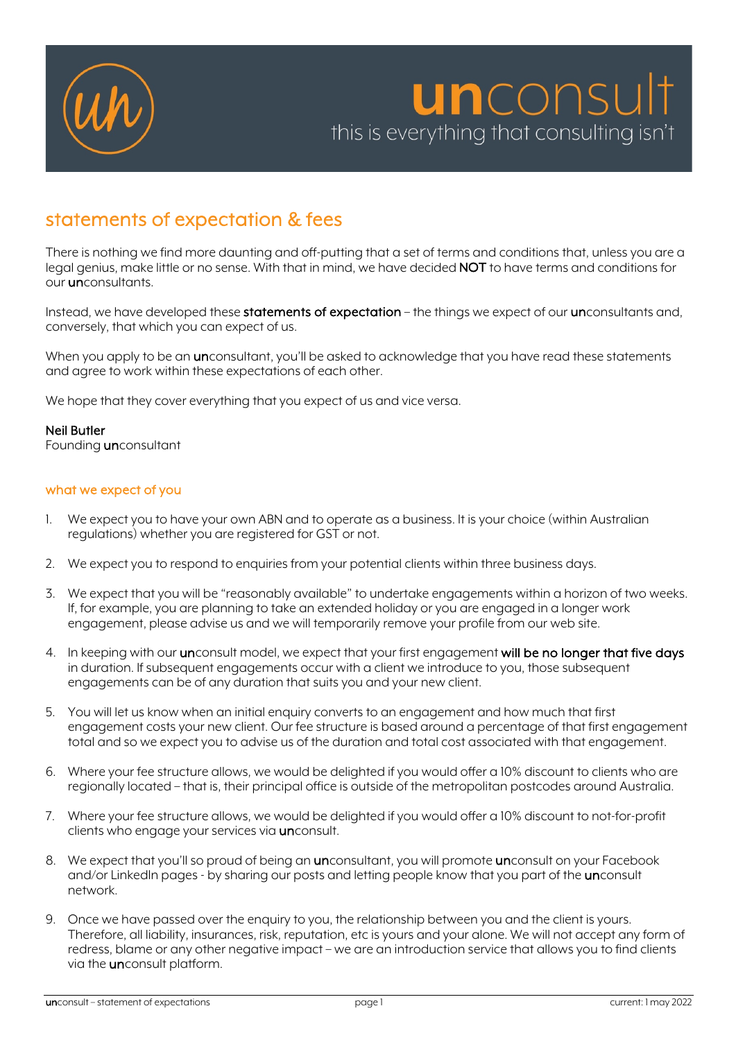

# statements of expectation & fees

There is nothing we find more daunting and off-putting that a set of terms and conditions that, unless you are a legal genius, make little or no sense. With that in mind, we have decided NOT to have terms and conditions for our unconsultants.

Instead, we have developed these statements of expectation – the things we expect of our unconsultants and, conversely, that which you can expect of us.

When you apply to be an *unconsultant, you'll be asked to acknowledge that you have read these statements* and agree to work within these expectations of each other.

We hope that they cover everything that you expect of us and vice versa.

## Neil Butler

Founding unconsultant

### what we expect of you

- 1. We expect you to have your own ABN and to operate as a business. It is your choice (within Australian regulations) whether you are registered for GST or not.
- 2. We expect you to respond to enquiries from your potential clients within three business days.
- 3. We expect that you will be "reasonably available" to undertake engagements within a horizon of two weeks. If, for example, you are planning to take an extended holiday or you are engaged in a longer work engagement, please advise us and we will temporarily remove your profile from our web site.
- 4. In keeping with our unconsult model, we expect that your first engagement will be no longer that five days in duration. If subsequent engagements occur with a client we introduce to you, those subsequent engagements can be of any duration that suits you and your new client.
- 5. You will let us know when an initial enquiry converts to an engagement and how much that first engagement costs your new client. Our fee structure is based around a percentage of that first engagement total and so we expect you to advise us of the duration and total cost associated with that engagement.
- 6. Where your fee structure allows, we would be delighted if you would offer a 10% discount to clients who are regionally located – that is, their principal office is outside of the metropolitan postcodes around Australia.
- 7. Where your fee structure allows, we would be delighted if you would offer a 10% discount to not-for-profit clients who engage your services via unconsult.
- 8. We expect that you'll so proud of being an unconsultant, you will promote unconsult on your Facebook and/or LinkedIn pages - by sharing our posts and letting people know that you part of the **un**consult network.
- 9. Once we have passed over the enquiry to you, the relationship between you and the client is yours. Therefore, all liability, insurances, risk, reputation, etc is yours and your alone. We will not accept any form of redress, blame or any other negative impact – we are an introduction service that allows you to find clients via the unconsult platform.